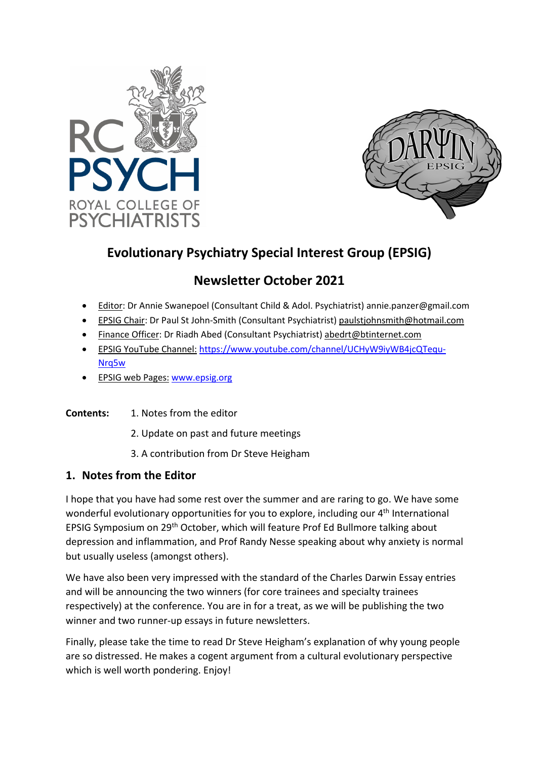



# **Evolutionary Psychiatry Special Interest Group (EPSIG)**

## **Newsletter October 2021**

- Editor: Dr Annie Swanepoel (Consultant Child & Adol. Psychiatrist) annie.panzer@gmail.com
- EPSIG Chair: Dr Paul St John-Smith (Consultant Psychiatrist) paulstjohnsmith@hotmail.com
- Finance Officer: Dr Riadh Abed (Consultant Psychiatrist) abedrt@btinternet.com
- EPSIG YouTube Channel: https://www.youtube.com/channel/UCHyW9iyWB4jcQTequ-Nrq5w
- EPSIG web Pages: www.epsig.org
- **Contents:** 1. Notes from the editor
	- 2. Update on past and future meetings
	- 3. A contribution from Dr Steve Heigham

### **1. Notes from the Editor**

I hope that you have had some rest over the summer and are raring to go. We have some wonderful evolutionary opportunities for you to explore, including our 4<sup>th</sup> International EPSIG Symposium on 29th October, which will feature Prof Ed Bullmore talking about depression and inflammation, and Prof Randy Nesse speaking about why anxiety is normal but usually useless (amongst others).

We have also been very impressed with the standard of the Charles Darwin Essay entries and will be announcing the two winners (for core trainees and specialty trainees respectively) at the conference. You are in for a treat, as we will be publishing the two winner and two runner-up essays in future newsletters.

Finally, please take the time to read Dr Steve Heigham's explanation of why young people are so distressed. He makes a cogent argument from a cultural evolutionary perspective which is well worth pondering. Enjoy!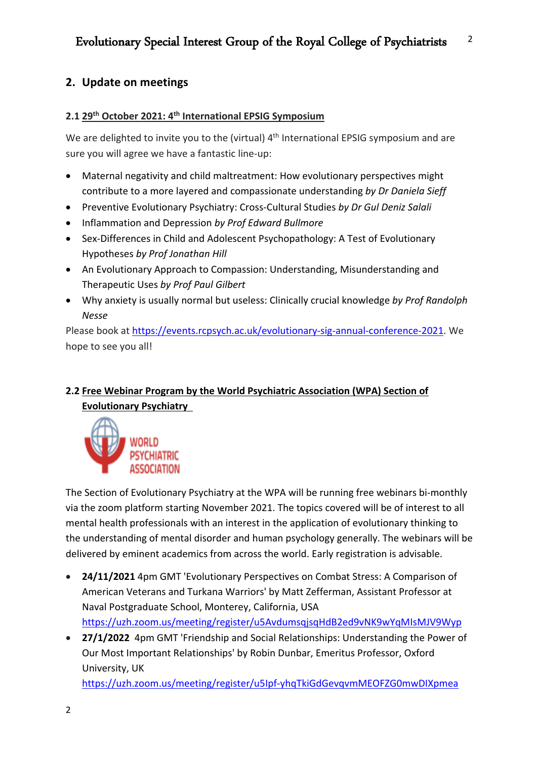## **2. Update on meetings**

#### **2.1 29th October 2021: 4th International EPSIG Symposium**

We are delighted to invite you to the (virtual) 4<sup>th</sup> International EPSIG symposium and are sure you will agree we have a fantastic line-up:

- Maternal negativity and child maltreatment: How evolutionary perspectives might contribute to a more layered and compassionate understanding *by Dr Daniela Sieff*
- Preventive Evolutionary Psychiatry: Cross-Cultural Studies *by Dr Gul Deniz Salali*
- Inflammation and Depression *by Prof Edward Bullmore*
- Sex-Differences in Child and Adolescent Psychopathology: A Test of Evolutionary Hypotheses *by Prof Jonathan Hill*
- An Evolutionary Approach to Compassion: Understanding, Misunderstanding and Therapeutic Uses *by Prof Paul Gilbert*
- Why anxiety is usually normal but useless: Clinically crucial knowledge *by Prof Randolph Nesse*

Please book at https://events.rcpsych.ac.uk/evolutionary-sig-annual-conference-2021. We hope to see you all!

## **2.2 Free Webinar Program by the World Psychiatric Association (WPA) Section of Evolutionary Psychiatry**



The Section of Evolutionary Psychiatry at the WPA will be running free webinars bi-monthly via the zoom platform starting November 2021. The topics covered will be of interest to all mental health professionals with an interest in the application of evolutionary thinking to the understanding of mental disorder and human psychology generally. The webinars will be delivered by eminent academics from across the world. Early registration is advisable.

- **24/11/2021** 4pm GMT 'Evolutionary Perspectives on Combat Stress: A Comparison of American Veterans and Turkana Warriors' by Matt Zefferman, Assistant Professor at Naval Postgraduate School, Monterey, California, USA https://uzh.zoom.us/meeting/register/u5AvdumsqjsqHdB2ed9vNK9wYqMIsMJV9Wyp
- **27/1/2022** 4pm GMT 'Friendship and Social Relationships: Understanding the Power of Our Most Important Relationships' by Robin Dunbar, Emeritus Professor, Oxford University, UK

https://uzh.zoom.us/meeting/register/u5Ipf-yhqTkiGdGevqvmMEOFZG0mwDIXpmea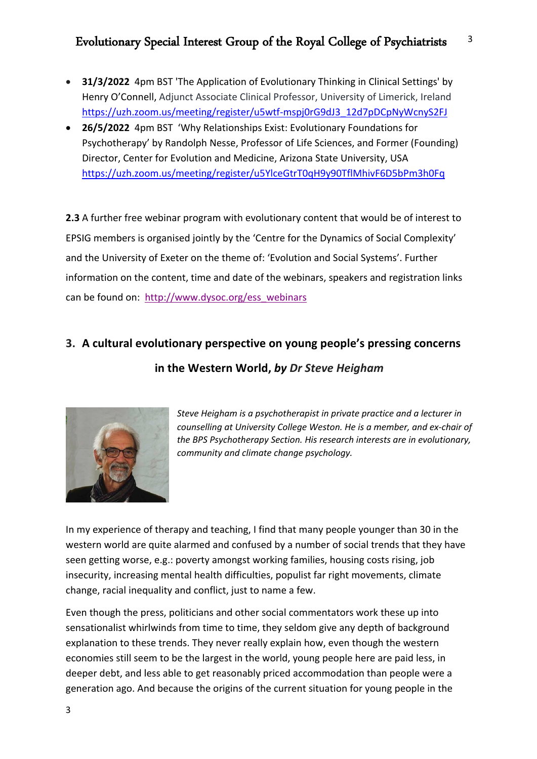- **31/3/2022** 4pm BST 'The Application of Evolutionary Thinking in Clinical Settings' by Henry O'Connell, Adjunct Associate Clinical Professor, University of Limerick, Ireland https://uzh.zoom.us/meeting/register/u5wtf-mspj0rG9dJ3\_12d7pDCpNyWcnyS2FJ
- **26/5/2022** 4pm BST 'Why Relationships Exist: Evolutionary Foundations for Psychotherapy' by Randolph Nesse, Professor of Life Sciences, and Former (Founding) Director, Center for Evolution and Medicine, Arizona State University, USA https://uzh.zoom.us/meeting/register/u5YlceGtrT0qH9y90TflMhivF6D5bPm3h0Fq

**2.3** A further free webinar program with evolutionary content that would be of interest to EPSIG members is organised jointly by the 'Centre for the Dynamics of Social Complexity' and the University of Exeter on the theme of: 'Evolution and Social Systems'. Further information on the content, time and date of the webinars, speakers and registration links can be found on: http://www.dysoc.org/ess\_webinars

# **3. A cultural evolutionary perspective on young people's pressing concerns in the Western World,** *by Dr Steve Heigham*



*Steve Heigham is a psychotherapist in private practice and a lecturer in counselling at University College Weston. He is a member, and ex-chair of the BPS Psychotherapy Section. His research interests are in evolutionary, community and climate change psychology.*

In my experience of therapy and teaching, I find that many people younger than 30 in the western world are quite alarmed and confused by a number of social trends that they have seen getting worse, e.g.: poverty amongst working families, housing costs rising, job insecurity, increasing mental health difficulties, populist far right movements, climate change, racial inequality and conflict, just to name a few.

Even though the press, politicians and other social commentators work these up into sensationalist whirlwinds from time to time, they seldom give any depth of background explanation to these trends. They never really explain how, even though the western economies still seem to be the largest in the world, young people here are paid less, in deeper debt, and less able to get reasonably priced accommodation than people were a generation ago. And because the origins of the current situation for young people in the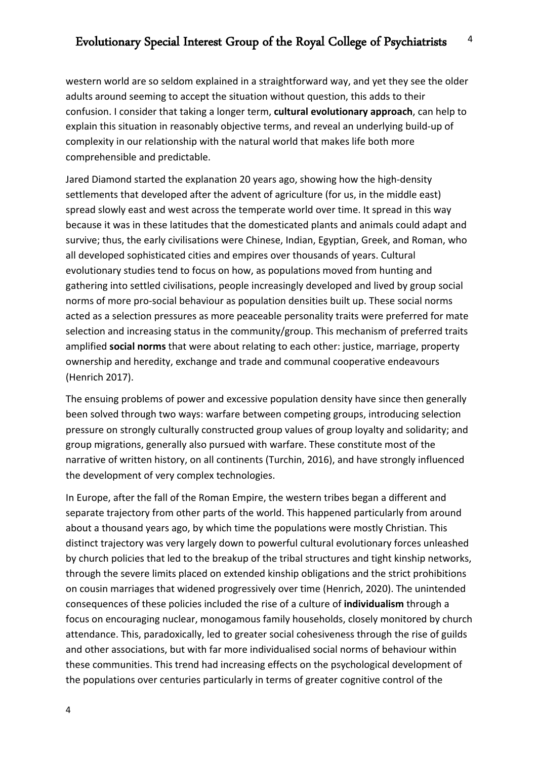western world are so seldom explained in a straightforward way, and yet they see the older adults around seeming to accept the situation without question, this adds to their confusion. I consider that taking a longer term, **cultural evolutionary approach**, can help to explain this situation in reasonably objective terms, and reveal an underlying build-up of complexity in our relationship with the natural world that makes life both more comprehensible and predictable.

Jared Diamond started the explanation 20 years ago, showing how the high-density settlements that developed after the advent of agriculture (for us, in the middle east) spread slowly east and west across the temperate world over time. It spread in this way because it was in these latitudes that the domesticated plants and animals could adapt and survive; thus, the early civilisations were Chinese, Indian, Egyptian, Greek, and Roman, who all developed sophisticated cities and empires over thousands of years. Cultural evolutionary studies tend to focus on how, as populations moved from hunting and gathering into settled civilisations, people increasingly developed and lived by group social norms of more pro-social behaviour as population densities built up. These social norms acted as a selection pressures as more peaceable personality traits were preferred for mate selection and increasing status in the community/group. This mechanism of preferred traits amplified **social norms** that were about relating to each other: justice, marriage, property ownership and heredity, exchange and trade and communal cooperative endeavours (Henrich 2017).

The ensuing problems of power and excessive population density have since then generally been solved through two ways: warfare between competing groups, introducing selection pressure on strongly culturally constructed group values of group loyalty and solidarity; and group migrations, generally also pursued with warfare. These constitute most of the narrative of written history, on all continents (Turchin, 2016), and have strongly influenced the development of very complex technologies.

In Europe, after the fall of the Roman Empire, the western tribes began a different and separate trajectory from other parts of the world. This happened particularly from around about a thousand years ago, by which time the populations were mostly Christian. This distinct trajectory was very largely down to powerful cultural evolutionary forces unleashed by church policies that led to the breakup of the tribal structures and tight kinship networks, through the severe limits placed on extended kinship obligations and the strict prohibitions on cousin marriages that widened progressively over time (Henrich, 2020). The unintended consequences of these policies included the rise of a culture of **individualism** through a focus on encouraging nuclear, monogamous family households, closely monitored by church attendance. This, paradoxically, led to greater social cohesiveness through the rise of guilds and other associations, but with far more individualised social norms of behaviour within these communities. This trend had increasing effects on the psychological development of the populations over centuries particularly in terms of greater cognitive control of the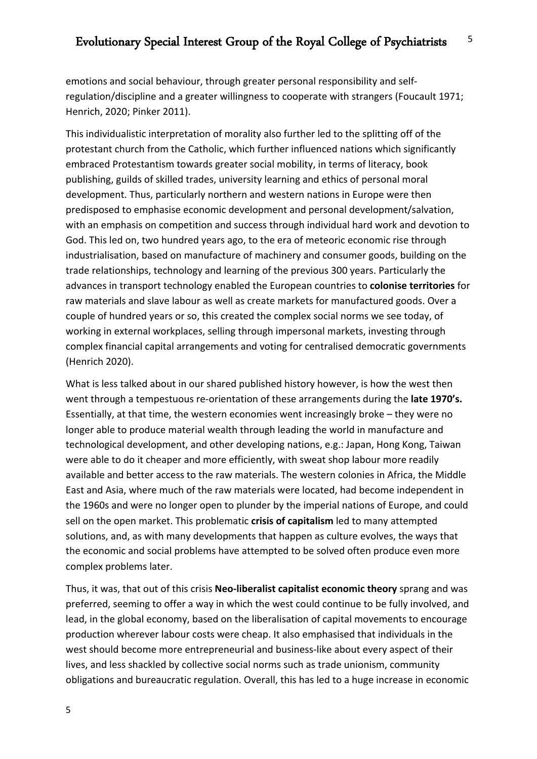emotions and social behaviour, through greater personal responsibility and selfregulation/discipline and a greater willingness to cooperate with strangers (Foucault 1971; Henrich, 2020; Pinker 2011).

This individualistic interpretation of morality also further led to the splitting off of the protestant church from the Catholic, which further influenced nations which significantly embraced Protestantism towards greater social mobility, in terms of literacy, book publishing, guilds of skilled trades, university learning and ethics of personal moral development. Thus, particularly northern and western nations in Europe were then predisposed to emphasise economic development and personal development/salvation, with an emphasis on competition and success through individual hard work and devotion to God. This led on, two hundred years ago, to the era of meteoric economic rise through industrialisation, based on manufacture of machinery and consumer goods, building on the trade relationships, technology and learning of the previous 300 years. Particularly the advances in transport technology enabled the European countries to **colonise territories** for raw materials and slave labour as well as create markets for manufactured goods. Over a couple of hundred years or so, this created the complex social norms we see today, of working in external workplaces, selling through impersonal markets, investing through complex financial capital arrangements and voting for centralised democratic governments (Henrich 2020).

What is less talked about in our shared published history however, is how the west then went through a tempestuous re-orientation of these arrangements during the **late 1970's.** Essentially, at that time, the western economies went increasingly broke – they were no longer able to produce material wealth through leading the world in manufacture and technological development, and other developing nations, e.g.: Japan, Hong Kong, Taiwan were able to do it cheaper and more efficiently, with sweat shop labour more readily available and better access to the raw materials. The western colonies in Africa, the Middle East and Asia, where much of the raw materials were located, had become independent in the 1960s and were no longer open to plunder by the imperial nations of Europe, and could sell on the open market. This problematic **crisis of capitalism** led to many attempted solutions, and, as with many developments that happen as culture evolves, the ways that the economic and social problems have attempted to be solved often produce even more complex problems later.

Thus, it was, that out of this crisis **Neo-liberalist capitalist economic theory** sprang and was preferred, seeming to offer a way in which the west could continue to be fully involved, and lead, in the global economy, based on the liberalisation of capital movements to encourage production wherever labour costs were cheap. It also emphasised that individuals in the west should become more entrepreneurial and business-like about every aspect of their lives, and less shackled by collective social norms such as trade unionism, community obligations and bureaucratic regulation. Overall, this has led to a huge increase in economic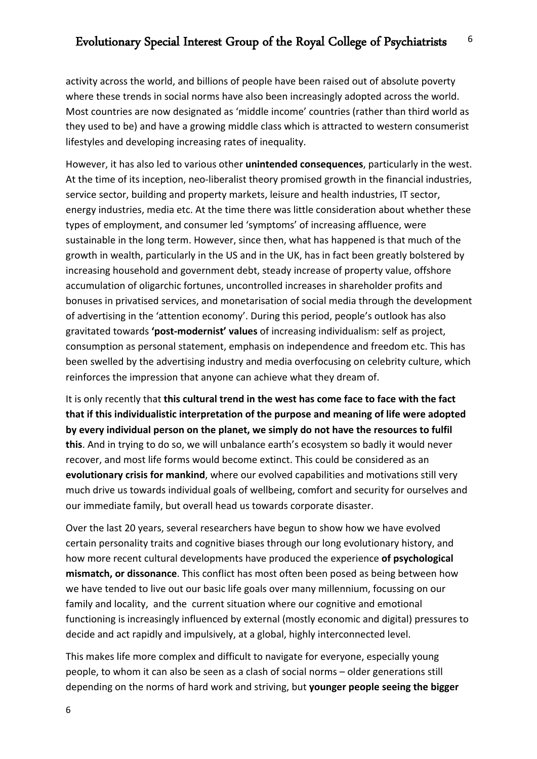activity across the world, and billions of people have been raised out of absolute poverty where these trends in social norms have also been increasingly adopted across the world. Most countries are now designated as 'middle income' countries (rather than third world as they used to be) and have a growing middle class which is attracted to western consumerist lifestyles and developing increasing rates of inequality.

However, it has also led to various other **unintended consequences**, particularly in the west. At the time of its inception, neo-liberalist theory promised growth in the financial industries, service sector, building and property markets, leisure and health industries, IT sector, energy industries, media etc. At the time there was little consideration about whether these types of employment, and consumer led 'symptoms' of increasing affluence, were sustainable in the long term. However, since then, what has happened is that much of the growth in wealth, particularly in the US and in the UK, has in fact been greatly bolstered by increasing household and government debt, steady increase of property value, offshore accumulation of oligarchic fortunes, uncontrolled increases in shareholder profits and bonuses in privatised services, and monetarisation of social media through the development of advertising in the 'attention economy'. During this period, people's outlook has also gravitated towards **'post-modernist' values** of increasing individualism: self as project, consumption as personal statement, emphasis on independence and freedom etc. This has been swelled by the advertising industry and media overfocusing on celebrity culture, which reinforces the impression that anyone can achieve what they dream of.

It is only recently that **this cultural trend in the west has come face to face with the fact that if this individualistic interpretation of the purpose and meaning of life were adopted by every individual person on the planet, we simply do not have the resources to fulfil this**. And in trying to do so, we will unbalance earth's ecosystem so badly it would never recover, and most life forms would become extinct. This could be considered as an **evolutionary crisis for mankind**, where our evolved capabilities and motivations still very much drive us towards individual goals of wellbeing, comfort and security for ourselves and our immediate family, but overall head us towards corporate disaster.

Over the last 20 years, several researchers have begun to show how we have evolved certain personality traits and cognitive biases through our long evolutionary history, and how more recent cultural developments have produced the experience **of psychological mismatch, or dissonance**. This conflict has most often been posed as being between how we have tended to live out our basic life goals over many millennium, focussing on our family and locality, and the current situation where our cognitive and emotional functioning is increasingly influenced by external (mostly economic and digital) pressures to decide and act rapidly and impulsively, at a global, highly interconnected level.

This makes life more complex and difficult to navigate for everyone, especially young people, to whom it can also be seen as a clash of social norms – older generations still depending on the norms of hard work and striving, but **younger people seeing the bigger**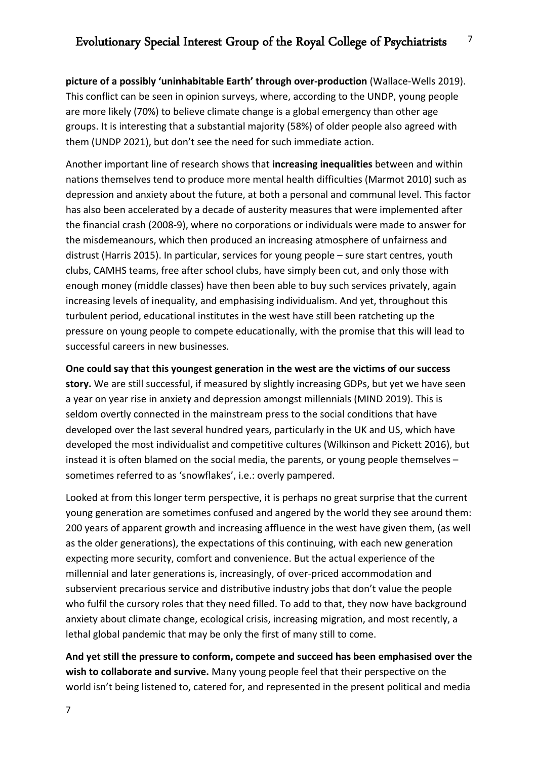**picture of a possibly 'uninhabitable Earth' through over-production** (Wallace-Wells 2019). This conflict can be seen in opinion surveys, where, according to the UNDP, young people are more likely (70%) to believe climate change is a global emergency than other age groups. It is interesting that a substantial majority (58%) of older people also agreed with them (UNDP 2021), but don't see the need for such immediate action.

Another important line of research shows that **increasing inequalities** between and within nations themselves tend to produce more mental health difficulties (Marmot 2010) such as depression and anxiety about the future, at both a personal and communal level. This factor has also been accelerated by a decade of austerity measures that were implemented after the financial crash (2008-9), where no corporations or individuals were made to answer for the misdemeanours, which then produced an increasing atmosphere of unfairness and distrust (Harris 2015). In particular, services for young people – sure start centres, youth clubs, CAMHS teams, free after school clubs, have simply been cut, and only those with enough money (middle classes) have then been able to buy such services privately, again increasing levels of inequality, and emphasising individualism. And yet, throughout this turbulent period, educational institutes in the west have still been ratcheting up the pressure on young people to compete educationally, with the promise that this will lead to successful careers in new businesses.

**One could say that this youngest generation in the west are the victims of our success story.** We are still successful, if measured by slightly increasing GDPs, but yet we have seen a year on year rise in anxiety and depression amongst millennials (MIND 2019). This is seldom overtly connected in the mainstream press to the social conditions that have developed over the last several hundred years, particularly in the UK and US, which have developed the most individualist and competitive cultures (Wilkinson and Pickett 2016), but instead it is often blamed on the social media, the parents, or young people themselves – sometimes referred to as 'snowflakes', i.e.: overly pampered.

Looked at from this longer term perspective, it is perhaps no great surprise that the current young generation are sometimes confused and angered by the world they see around them: 200 years of apparent growth and increasing affluence in the west have given them, (as well as the older generations), the expectations of this continuing, with each new generation expecting more security, comfort and convenience. But the actual experience of the millennial and later generations is, increasingly, of over-priced accommodation and subservient precarious service and distributive industry jobs that don't value the people who fulfil the cursory roles that they need filled. To add to that, they now have background anxiety about climate change, ecological crisis, increasing migration, and most recently, a lethal global pandemic that may be only the first of many still to come.

**And yet still the pressure to conform, compete and succeed has been emphasised over the wish to collaborate and survive.** Many young people feel that their perspective on the world isn't being listened to, catered for, and represented in the present political and media